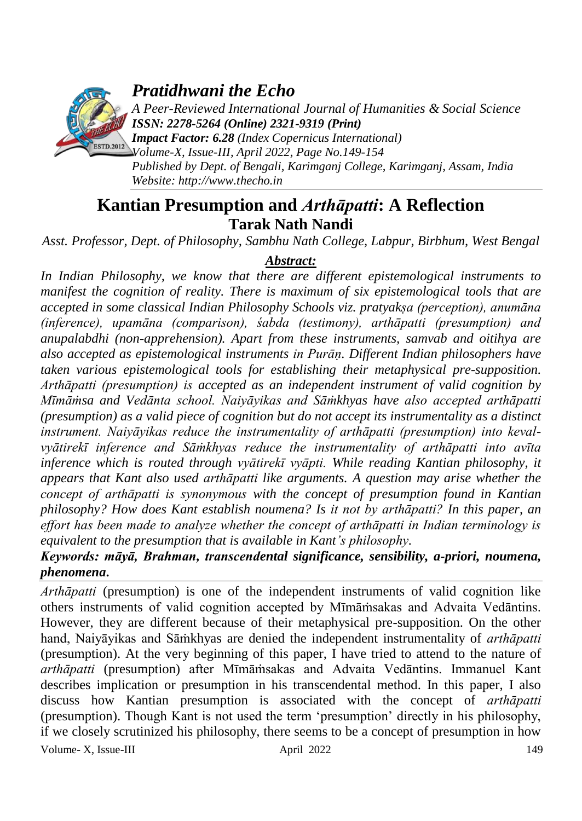

*Pratidhwani the Echo*

*A Peer-Reviewed International Journal of Humanities & Social Science ISSN: 2278-5264 (Online) 2321-9319 (Print)*

*Impact Factor: 6.28 (Index Copernicus International) Volume-X, Issue-III, April 2022, Page No.149-154 Published by Dept. of Bengali, Karimganj College, Karimganj, Assam, India Website: [http://www.thecho.in](http://www.thecho.in/)*

# **Kantian Presumption and** *Arthāpatti***: A Reflection Tarak Nath Nandi**

*Asst. Professor, Dept. of Philosophy, Sambhu Nath College, Labpur, Birbhum, West Bengal*

## *Abstract:*

*In Indian Philosophy, we know that there are different epistemological instruments to manifest the cognition of reality. There is maximum of six epistemological tools that are accepted in some classical Indian Philosophy Schools viz. pratyakṣa (perception), anumāna (inference), upamāna (comparison), śabda (testimony), arthāpatti (presumption) and anupalabdhi (non-apprehension). Apart from these instruments, samvab and oitihya are also accepted as epistemological instruments in Purāṇ. Different Indian philosophers have taken various epistemological tools for establishing their metaphysical pre-supposition. Arthāpatti (presumption) is accepted as an independent instrument of valid cognition by Mīmāṁsa and Vedānta school. Naiyāyikas and Sāṁkhyas have also accepted arthāpatti (presumption) as a valid piece of cognition but do not accept its instrumentality as a distinct instrument. Naiyāyikas reduce the instrumentality of arthāpatti (presumption) into kevalvyātirekī inference and Sāṁkhyas reduce the instrumentality of arthāpatti into avīta inference which is routed through vyātirekī vyāpti. While reading Kantian philosophy, it appears that Kant also used arthāpatti like arguments. A question may arise whether the concept of arthāpatti is synonymous with the concept of presumption found in Kantian philosophy? How does Kant establish noumena? Is it not by arthāpatti? In this paper, an effort has been made to analyze whether the concept of arthāpatti in Indian terminology is equivalent to the presumption that is available in Kant's philosophy.*

### *Keywords: māyā, Brahman, transcendental significance, sensibility, a-priori, noumena, phenomena***.**

*Arthāpatti* (presumption) is one of the independent instruments of valid cognition like others instruments of valid cognition accepted by Mīmāṁsakas and Advaita Vedāntins. However, they are different because of their metaphysical pre-supposition. On the other hand, Naiyāyikas and Sāṁkhyas are denied the independent instrumentality of *arthāpatti* (presumption). At the very beginning of this paper, I have tried to attend to the nature of *arthāpatti* (presumption) after Mīmāṁsakas and Advaita Vedāntins. Immanuel Kant describes implication or presumption in his transcendental method. In this paper, I also discuss how Kantian presumption is associated with the concept of *arthāpatti* (presumption). Though Kant is not used the term "presumption" directly in his philosophy, if we closely scrutinized his philosophy, there seems to be a concept of presumption in how

Volume- X, Issue-III and April 2022 149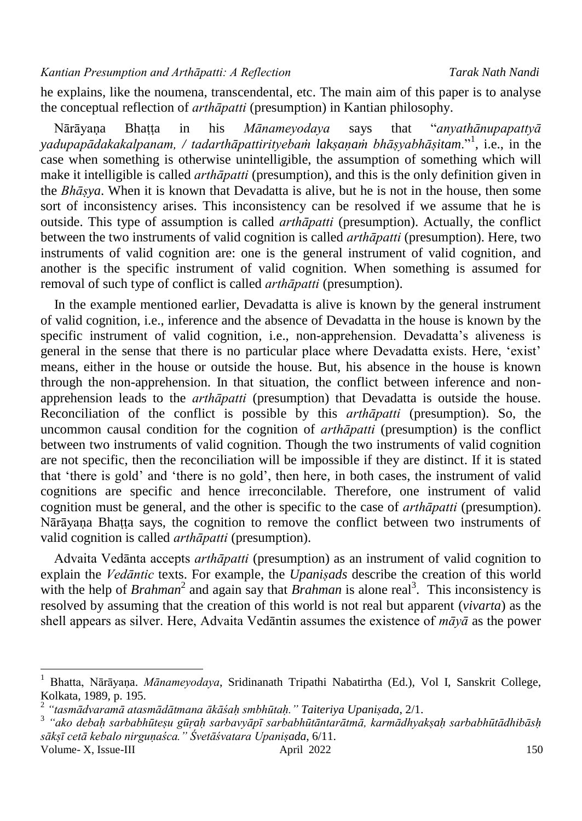he explains, like the noumena, transcendental, etc. The main aim of this paper is to analyse the conceptual reflection of *arthāpatti* (presumption) in Kantian philosophy.

 Nārāyaṇa Bhaṭṭa in his *Mānameyodaya* says that "*anyathānupapattyā yadupapādakakalpanam, / tadarthāpattirityebaṁ lakṣaṇaṁ bhāṣyabhāṣitam*."<sup>1</sup> , i.e., in the case when something is otherwise unintelligible, the assumption of something which will make it intelligible is called *arthāpatti* (presumption), and this is the only definition given in the *Bhāṣya*. When it is known that Devadatta is alive, but he is not in the house, then some sort of inconsistency arises. This inconsistency can be resolved if we assume that he is outside. This type of assumption is called *arthāpatti* (presumption). Actually, the conflict between the two instruments of valid cognition is called *arthāpatti* (presumption). Here, two instruments of valid cognition are: one is the general instrument of valid cognition, and another is the specific instrument of valid cognition. When something is assumed for removal of such type of conflict is called *arthāpatti* (presumption).

 In the example mentioned earlier, Devadatta is alive is known by the general instrument of valid cognition, i.e., inference and the absence of Devadatta in the house is known by the specific instrument of valid cognition, i.e., non-apprehension. Devadatta's aliveness is general in the sense that there is no particular place where Devadatta exists. Here, "exist" means, either in the house or outside the house. But, his absence in the house is known through the non-apprehension. In that situation, the conflict between inference and nonapprehension leads to the *arthāpatti* (presumption) that Devadatta is outside the house. Reconciliation of the conflict is possible by this *arthāpatti* (presumption). So, the uncommon causal condition for the cognition of *arthāpatti* (presumption) is the conflict between two instruments of valid cognition. Though the two instruments of valid cognition are not specific, then the reconciliation will be impossible if they are distinct. If it is stated that "there is gold" and "there is no gold", then here, in both cases, the instrument of valid cognitions are specific and hence irreconcilable. Therefore, one instrument of valid cognition must be general, and the other is specific to the case of *arthāpatti* (presumption). Nārāyaṇa Bhaṭṭa says, the cognition to remove the conflict between two instruments of valid cognition is called *arthāpatti* (presumption).

 Advaita Vedānta accepts *arthāpatti* (presumption) as an instrument of valid cognition to explain the *Vedāntic* texts. For example, the *Upaniṣads* describe the creation of this world with the help of *Brahman*<sup>2</sup> and again say that *Brahman* is alone real<sup>3</sup>. This inconsistency is resolved by assuming that the creation of this world is not real but apparent (*vivarta*) as the shell appears as silver. Here, Advaita Vedāntin assumes the existence of *māyā* as the power

 $\overline{a}$ 

<sup>1</sup> Bhatta, Nārāyaṇa. *Mānameyodaya*, Sridinanath Tripathi Nabatirtha (Ed.), Vol I, Sanskrit College, Kolkata, 1989, p. 195.

<sup>2</sup> *"tasmādvaramā atasmādātmana ākāśaḥ smbhūtaḥ." Taiteriya Upaniṣada*, 2/1.

Volume- X, Issue-III april 2022 150 3 *"ako debaḥ sarbabhūteṣu gūṛaḥ sarbavyāpī sarbabhūtāntarātmā, karmādhyakṣaḥ sarbabhūtādhibāsḥ sākṣī cetā kebalo nirguṇaśca." Śvetāśvatara Upaniṣada*, 6/11.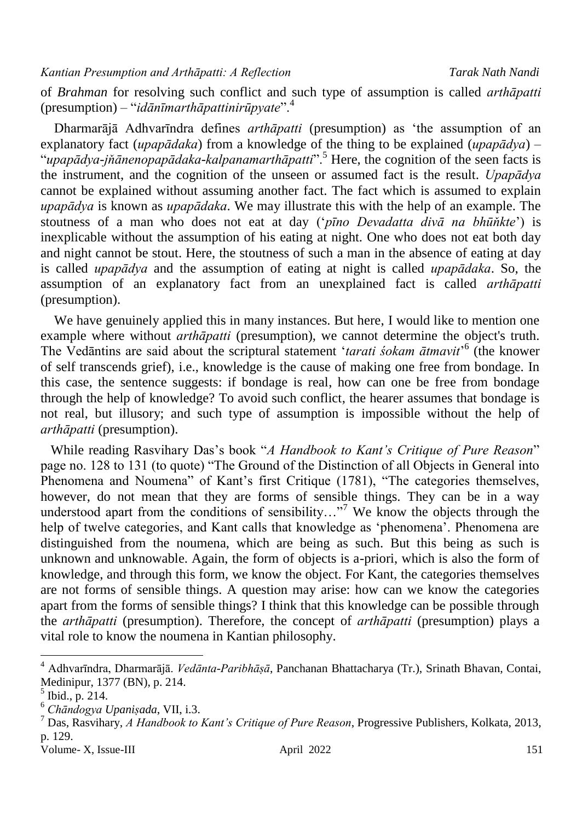of *Brahman* for resolving such conflict and such type of assumption is called *arthāpatti* (presumption) – "*idānīmarthāpattinirūpyate*".<sup>4</sup>

 Dharmarājā Adhvarīndra defines *arthāpatti* (presumption) as "the assumption of an explanatory fact (*upapādaka*) from a knowledge of the thing to be explained (*upapādya*) – "*upapādya-jňānenopapādaka-kalpanamarthāpatti*".<sup>5</sup> Here, the cognition of the seen facts is the instrument, and the cognition of the unseen or assumed fact is the result. *Upapādya* cannot be explained without assuming another fact. The fact which is assumed to explain *upapādya* is known as *upapādaka*. We may illustrate this with the help of an example. The stoutness of a man who does not eat at day ("*pīno Devadatta divā na bhūňkte*") is inexplicable without the assumption of his eating at night. One who does not eat both day and night cannot be stout. Here, the stoutness of such a man in the absence of eating at day is called *upapādya* and the assumption of eating at night is called *upapādaka*. So, the assumption of an explanatory fact from an unexplained fact is called *arthāpatti* (presumption).

We have genuinely applied this in many instances. But here, I would like to mention one example where without *arthāpatti* (presumption), we cannot determine the object's truth. The Vedāntins are said about the scriptural statement 'tarati śokam ātmavit'<sup>6</sup> (the knower of self transcends grief), i.e., knowledge is the cause of making one free from bondage. In this case, the sentence suggests: if bondage is real, how can one be free from bondage through the help of knowledge? To avoid such conflict, the hearer assumes that bondage is not real, but illusory; and such type of assumption is impossible without the help of *arthāpatti* (presumption).

 While reading Rasvihary Das"s book "*A Handbook to Kant's Critique of Pure Reason*" page no. 128 to 131 (to quote) "The Ground of the Distinction of all Objects in General into Phenomena and Noumena" of Kant's first Critique (1781), "The categories themselves, however, do not mean that they are forms of sensible things. They can be in a way understood apart from the conditions of sensibility..."<sup>7</sup> We know the objects through the help of twelve categories, and Kant calls that knowledge as 'phenomena'. Phenomena are distinguished from the noumena, which are being as such. But this being as such is unknown and unknowable. Again, the form of objects is a-priori, which is also the form of knowledge, and through this form, we know the object. For Kant, the categories themselves are not forms of sensible things. A question may arise: how can we know the categories apart from the forms of sensible things? I think that this knowledge can be possible through the *arthāpatti* (presumption). Therefore, the concept of *arthāpatti* (presumption) plays a vital role to know the noumena in Kantian philosophy.

 $\overline{a}$ 

<sup>4</sup> Adhvarīndra, Dharmarājā. *Vedānta-Paribhāṣā*, Panchanan Bhattacharya (Tr.), Srinath Bhavan, Contai, Medinipur, 1377 (BN), p. 214.

 $<sup>5</sup>$  Ibid., p. 214.</sup>

<sup>6</sup> *Chāndogya Upaniṣada*, VII, i.3.

<sup>7</sup> Das, Rasvihary, *A Handbook to Kant's Critique of Pure Reason*, Progressive Publishers, Kolkata, 2013, p. 129.

Volume- X, Issue-III april 2022 151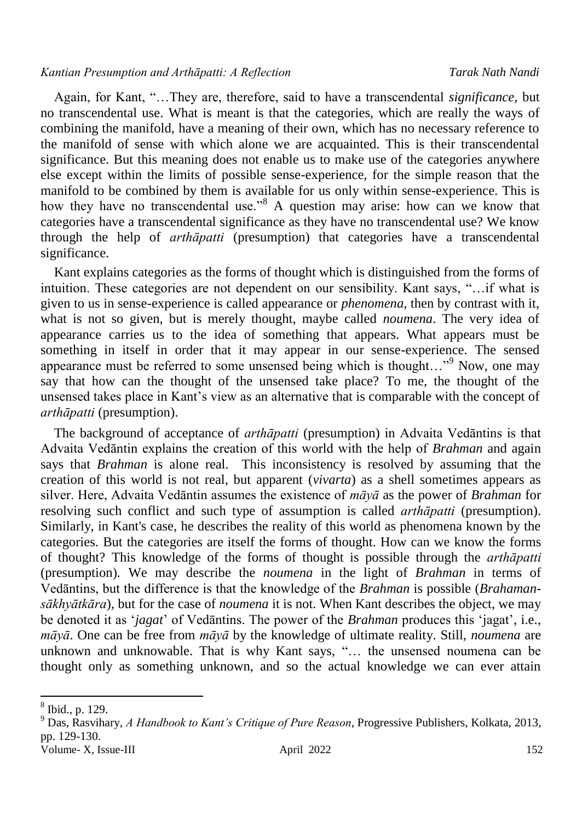#### *Kantian Presumption and Arthāpatti: A Reflection Tarak Nath Nandi*

 Again, for Kant, "…They are, therefore, said to have a transcendental *significance,* but no transcendental use. What is meant is that the categories, which are really the ways of combining the manifold, have a meaning of their own, which has no necessary reference to the manifold of sense with which alone we are acquainted. This is their transcendental significance. But this meaning does not enable us to make use of the categories anywhere else except within the limits of possible sense-experience, for the simple reason that the manifold to be combined by them is available for us only within sense-experience. This is how they have no transcendental use."<sup>8</sup> A question may arise: how can we know that categories have a transcendental significance as they have no transcendental use? We know through the help of *arthāpatti* (presumption) that categories have a transcendental significance.

 Kant explains categories as the forms of thought which is distinguished from the forms of intuition. These categories are not dependent on our sensibility. Kant says, "…if what is given to us in sense-experience is called appearance or *phenomena*, then by contrast with it, what is not so given, but is merely thought, maybe called *noumena*. The very idea of appearance carries us to the idea of something that appears. What appears must be something in itself in order that it may appear in our sense-experience. The sensed appearance must be referred to some unsensed being which is thought..."<sup>9</sup> Now, one may say that how can the thought of the unsensed take place? To me, the thought of the unsensed takes place in Kant"s view as an alternative that is comparable with the concept of *arthāpatti* (presumption).

 The background of acceptance of *arthāpatti* (presumption) in Advaita Vedāntins is that Advaita Vedāntin explains the creation of this world with the help of *Brahman* and again says that *Brahman* is alone real. This inconsistency is resolved by assuming that the creation of this world is not real, but apparent (*vivarta*) as a shell sometimes appears as silver. Here, Advaita Vedāntin assumes the existence of *māyā* as the power of *Brahman* for resolving such conflict and such type of assumption is called *arthāpatti* (presumption). Similarly, in Kant's case, he describes the reality of this world as phenomena known by the categories. But the categories are itself the forms of thought. How can we know the forms of thought? This knowledge of the forms of thought is possible through the *arthāpatti* (presumption)*.* We may describe the *noumena* in the light of *Brahman* in terms of Vedāntins, but the difference is that the knowledge of the *Brahman* is possible (*Brahamansākhyātkāra*), but for the case of *noumena* it is not. When Kant describes the object, we may be denoted it as "*jagat*" of Vedāntins. The power of the *Brahman* produces this "jagat", i.e., *māyā*. One can be free from *māyā* by the knowledge of ultimate reality. Still, *noumena* are unknown and unknowable. That is why Kant says, "… the unsensed noumena can be thought only as something unknown, and so the actual knowledge we can ever attain

 $\overline{\phantom{a}}$ 

<sup>8</sup> Ibid., p. 129.

Volume- X, Issue-III april 2022 152 <sup>9</sup> Das, Rasvihary, *A Handbook to Kant's Critique of Pure Reason*, Progressive Publishers, Kolkata, 2013, pp. 129-130.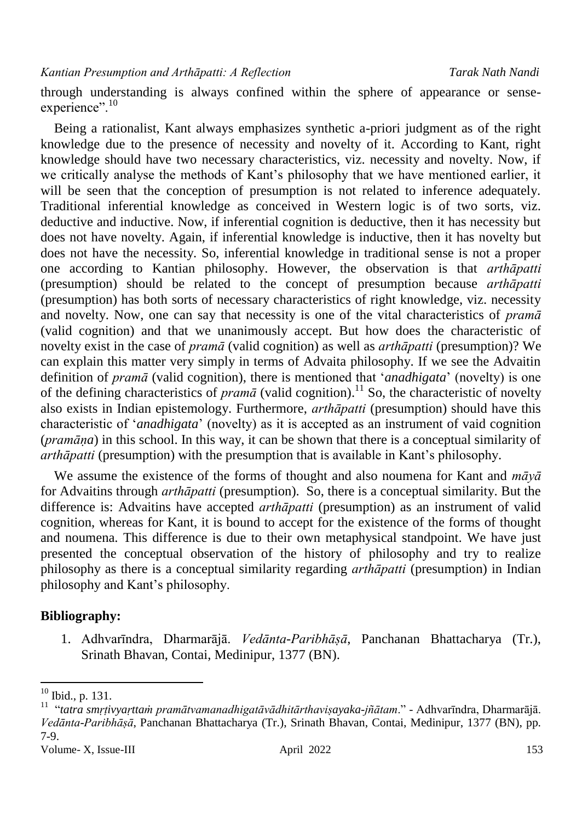through understanding is always confined within the sphere of appearance or senseexperience".<sup>10</sup>

 Being a rationalist, Kant always emphasizes synthetic a-priori judgment as of the right knowledge due to the presence of necessity and novelty of it. According to Kant, right knowledge should have two necessary characteristics, viz. necessity and novelty. Now, if we critically analyse the methods of Kant"s philosophy that we have mentioned earlier, it will be seen that the conception of presumption is not related to inference adequately. Traditional inferential knowledge as conceived in Western logic is of two sorts, viz. deductive and inductive. Now, if inferential cognition is deductive, then it has necessity but does not have novelty. Again, if inferential knowledge is inductive, then it has novelty but does not have the necessity. So, inferential knowledge in traditional sense is not a proper one according to Kantian philosophy. However, the observation is that *arthāpatti* (presumption) should be related to the concept of presumption because *arthāpatti* (presumption) has both sorts of necessary characteristics of right knowledge, viz. necessity and novelty. Now, one can say that necessity is one of the vital characteristics of *pramā*  (valid cognition) and that we unanimously accept. But how does the characteristic of novelty exist in the case of *pramā* (valid cognition) as well as *arthāpatti* (presumption)? We can explain this matter very simply in terms of Advaita philosophy. If we see the Advaitin definition of *pramā* (valid cognition), there is mentioned that "*anadhigata*" (novelty) is one of the defining characteristics of *pramā* (valid cognition). <sup>11</sup> So, the characteristic of novelty also exists in Indian epistemology. Furthermore, *arthāpatti* (presumption) should have this characteristic of "*anadhigata*" (novelty) as it is accepted as an instrument of vaid cognition (*pramāṇa*) in this school. In this way, it can be shown that there is a conceptual similarity of *arthāpatti* (presumption) with the presumption that is available in Kant's philosophy.

 We assume the existence of the forms of thought and also noumena for Kant and *māyā* for Advaitins through *arthāpatti* (presumption). So, there is a conceptual similarity. But the difference is: Advaitins have accepted *arthāpatti* (presumption) as an instrument of valid cognition, whereas for Kant, it is bound to accept for the existence of the forms of thought and noumena. This difference is due to their own metaphysical standpoint. We have just presented the conceptual observation of the history of philosophy and try to realize philosophy as there is a conceptual similarity regarding *arthāpatti* (presumption) in Indian philosophy and Kant"s philosophy.

#### **Bibliography:**

1. Adhvarīndra, Dharmarājā. *Vedānta-Paribhāṣā*, Panchanan Bhattacharya (Tr.), Srinath Bhavan, Contai, Medinipur, 1377 (BN).

 $\overline{\phantom{a}}$ 

 $10$  Ibid., p. 131.

<sup>11</sup> "*tatra smṛṭivyaṛttaṁ pramātvamanadhigatāvādhitārthaviṣayaka-jñātam*." - Adhvarīndra, Dharmarājā. *Vedānta-Paribhāṣā*, Panchanan Bhattacharya (Tr.), Srinath Bhavan, Contai, Medinipur, 1377 (BN), pp. 7-9.

Volume- X, Issue-III april 2022 153